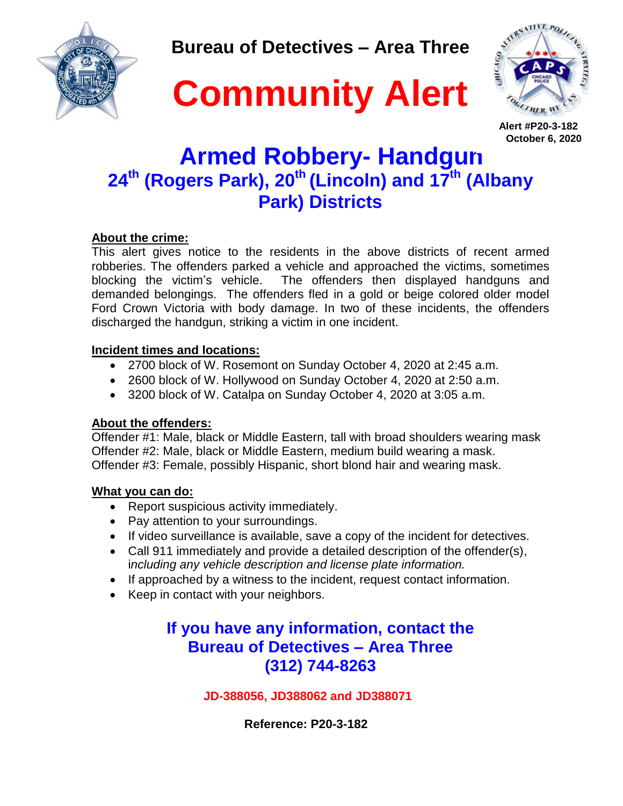

**Bureau of Detectives – Area Three**





 **Alert #P20-3-182 October 6, 2020**

# **Armed Robbery- Handgun 24th (Rogers Park), 20th (Lincoln) and 17th (Albany Park) Districts**

### **About the crime:**

This alert gives notice to the residents in the above districts of recent armed robberies. The offenders parked a vehicle and approached the victims, sometimes blocking the victim's vehicle. The offenders then displayed handguns and demanded belongings. The offenders fled in a gold or beige colored older model Ford Crown Victoria with body damage. In two of these incidents, the offenders discharged the handgun, striking a victim in one incident.

### **Incident times and locations:**

- 2700 block of W. Rosemont on Sunday October 4, 2020 at 2:45 a.m.
- 2600 block of W. Hollywood on Sunday October 4, 2020 at 2:50 a.m.
- 3200 block of W. Catalpa on Sunday October 4, 2020 at 3:05 a.m.

### **About the offenders:**

Offender #1: Male, black or Middle Eastern, tall with broad shoulders wearing mask Offender #2: Male, black or Middle Eastern, medium build wearing a mask. Offender #3: Female, possibly Hispanic, short blond hair and wearing mask.

### **What you can do:**

- Report suspicious activity immediately.
- Pay attention to your surroundings.
- If video surveillance is available, save a copy of the incident for detectives.
- Call 911 immediately and provide a detailed description of the offender(s), i*ncluding any vehicle description and license plate information.*
- If approached by a witness to the incident, request contact information.
- Keep in contact with your neighbors.

### **If you have any information, contact the Bureau of Detectives – Area Three (312) 744-8263**

### **JD-388056, JD388062 and JD388071**

 **Reference: P20-3-182**